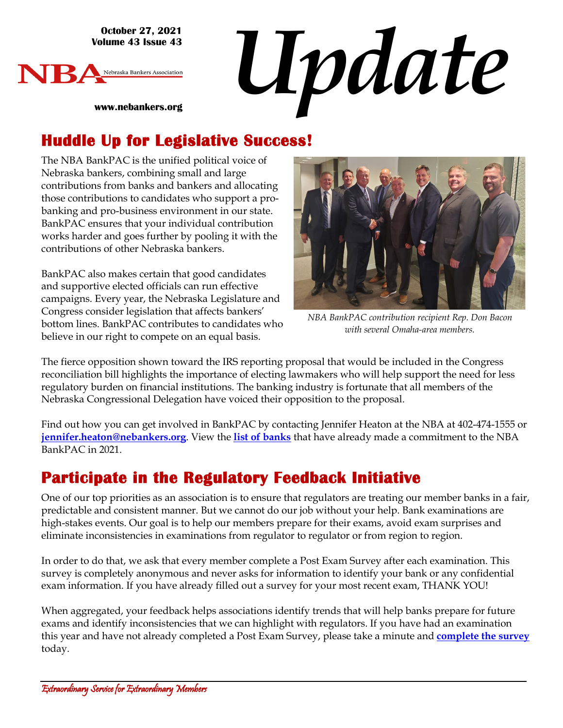**October 27, 2021 Volume 43 Issue 43**

**www.nebankers.org**



*Update*

## **Huddle Up for Legislative Success!**

The NBA BankPAC is the unified political voice of Nebraska bankers, combining small and large contributions from banks and bankers and allocating those contributions to candidates who support a probanking and pro-business environment in our state. BankPAC ensures that your individual contribution works harder and goes further by pooling it with the contributions of other Nebraska bankers.

BankPAC also makes certain that good candidates and supportive elected officials can run effective campaigns. Every year, the Nebraska Legislature and Congress consider legislation that affects bankers' bottom lines. BankPAC contributes to candidates who believe in our right to compete on an equal basis.



*NBA BankPAC contribution recipient Rep. Don Bacon with several Omaha-area members.*

The fierce opposition shown toward the IRS reporting proposal that would be included in the Congress reconciliation bill highlights the importance of electing lawmakers who will help support the need for less regulatory burden on financial institutions. The banking industry is fortunate that all members of the Nebraska Congressional Delegation have voiced their opposition to the proposal.

Find out how you can get involved in BankPAC by contacting Jennifer Heaton at the NBA at 402-474-1555 or **[jennifer.heaton@nebankers.org](mailto:jennifer.heaton@nebankers.org)**. View the **[list of banks](http://www.nebankers.org/uploads/8/1/6/4/81640974/2021-bankpac-honor-roll.pdf)** that have already made a commitment to the NBA BankPAC in 2021.

### **Participate in the Regulatory Feedback Initiative**

One of our top priorities as an association is to ensure that regulators are treating our member banks in a fair, predictable and consistent manner. But we cannot do our job without your help. Bank examinations are high-stakes events. Our goal is to help our members prepare for their exams, avoid exam surprises and eliminate inconsistencies in examinations from regulator to regulator or from region to region.

In order to do that, we ask that every member complete a Post Exam Survey after each examination. This survey is completely anonymous and never asks for information to identify your bank or any confidential exam information. If you have already filled out a survey for your most recent exam, THANK YOU!

When aggregated, your feedback helps associations identify trends that will help banks prepare for future exams and identify inconsistencies that we can highlight with regulators. If you have had an examination this year and have not already completed a Post Exam Survey, please take a minute and **complete [the survey](https://allbankers.org/link79204516.html)** today.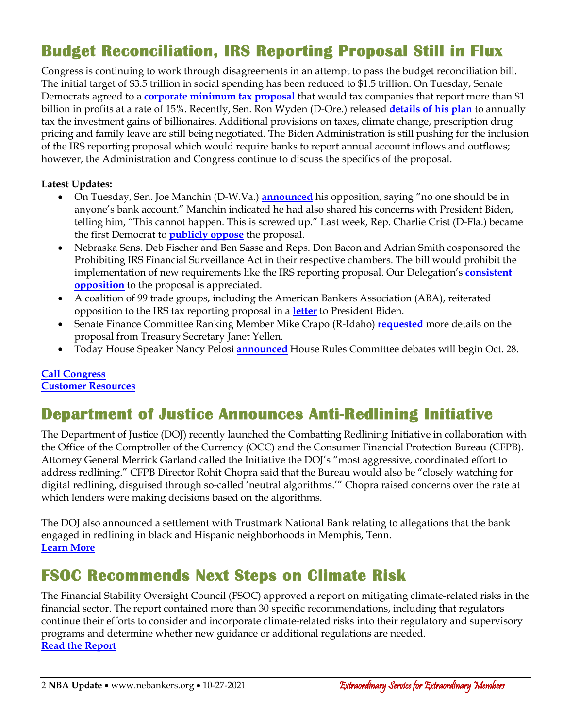## **Budget Reconciliation, IRS Reporting Proposal Still in Flux**

Congress is continuing to work through disagreements in an attempt to pass the budget reconciliation bill. The initial target of \$3.5 trillion in social spending has been reduced to \$1.5 trillion. On Tuesday, Senate Democrats agreed to a **[corporate minimum tax proposal](https://www.warren.senate.gov/imo/media/doc/Warren-King-Wyden%20Corporate%20Profits%20Minimum%20Tax%20-%20One%20Pager.pdf)** that would tax companies that report more than \$1 billion in profits at a rate of 15%. Recently, Sen. Ron Wyden (D-Ore.) released **[details of his plan](https://www.politico.com/news/2021/10/27/billionaires-income-tax-details-wyden-517318)** to annually tax the investment gains of billionaires. Additional provisions on taxes, climate change, prescription drug pricing and family leave are still being negotiated. The Biden Administration is still pushing for the inclusion of the IRS reporting proposal which would require banks to report annual account inflows and outflows; however, the Administration and Congress continue to discuss the specifics of the proposal.

#### **Latest Updates:**

- On Tuesday, Sen. Joe Manchin (D-W.Va.) **[announced](https://bankingjournal.aba.com/2021/10/edwards-irs-reporting-proposal-could-damage-trust-in-banks-manchin-also-opposes/)** his opposition, saying "no one should be in anyone's bank account." Manchin indicated he had also shared his concerns with President Biden, telling him, "This cannot happen. This is screwed up." Last week, Rep. Charlie Crist (D-Fla.) became the first Democrat to **[publicly oppose](https://crist.house.gov/news/documentsingle.aspx?DocumentID=2468)** the proposal.
- Nebraska Sens. Deb Fischer and Ben Sasse and Reps. Don Bacon and Adrian Smith cosponsored the Prohibiting IRS Financial Surveillance Act in their respective chambers. The bill would prohibit the implementation of new requirements like the IRS reporting proposal. Our Delegation's **[consistent](https://www.aba.com/-/media/documents/notices/congressional-letter-to-yellen-10212021.pdf)  [opposition](https://www.aba.com/-/media/documents/notices/congressional-letter-to-yellen-10212021.pdf)** to the proposal is appreciated.
- A coalition of 99 trade groups, including the American Bankers Association (ABA), reiterated opposition to the IRS tax reporting proposal in a **[letter](https://www.aba.com/advocacy/policy-analysis/joint-trades-letter-to-president-biden-tax-information-reporting-proposal)** to President Biden.
- Senate Finance Committee Ranking Member Mike Crapo (R-Idaho) **[requested](https://www.aba.com/-/media/documents/notices/crapo-letter-to-yellen-10202021.pdf)** more details on the proposal from Treasury Secretary Janet Yellen.
- Today House Speaker Nancy Pelosi **[announced](https://pbs.twimg.com/media/FCuTaFBXoAEF3ee?format=png&name=large)** House Rules Committee debates will begin Oct. 28.

#### **[Call Congress](https://secureamericanopportunity.com/take-action/call-congress-now-oppose-new-irs-reporting-requirements/) [Customer Resources](https://secureamericanopportunity.com/irs-proposal-resources/)**

#### **Department of Justice Announces Anti-Redlining Initiative**

The Department of Justice (DOJ) recently launched the Combatting Redlining Initiative in collaboration with the Office of the Comptroller of the Currency (OCC) and the Consumer Financial Protection Bureau (CFPB). Attorney General Merrick Garland called the Initiative the DOJ's "most aggressive, coordinated effort to address redlining." CFPB Director Rohit Chopra said that the Bureau would also be "closely watching for digital redlining, disguised through so-called 'neutral algorithms.'" Chopra raised concerns over the rate at which lenders were making decisions based on the algorithms.

The DOJ also announced a settlement with Trustmark National Bank relating to allegations that the bank engaged in redlining in black and Hispanic neighborhoods in Memphis, Tenn. **[Learn More](https://www.justice.gov/opa/pr/justice-department-announces-new-initiative-combat-redlining)**

#### **FSOC Recommends Next Steps on Climate Risk**

The Financial Stability Oversight Council (FSOC) approved a report on mitigating climate-related risks in the financial sector. The report contained more than 30 specific recommendations, including that regulators continue their efforts to consider and incorporate climate-related risks into their regulatory and supervisory programs and determine whether new guidance or additional regulations are needed. **[Read the Report](https://home.treasury.gov/system/files/261/FSOC-Climate-Report.pdf)**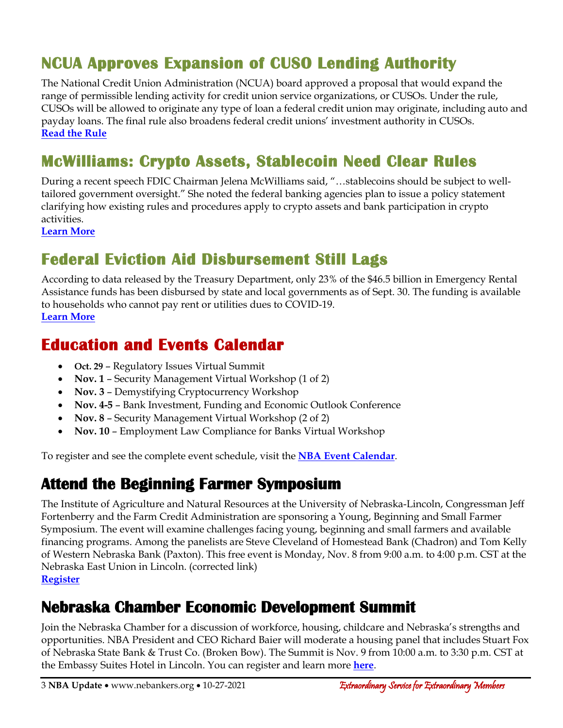# **NCUA Approves Expansion of CUSO Lending Authority**

The National Credit Union Administration (NCUA) board approved a proposal that would expand the range of permissible lending activity for credit union service organizations, or CUSOs. Under the rule, CUSOs will be allowed to originate any type of loan a federal credit union may originate, including auto and payday loans. The final rule also broadens federal credit unions' investment authority in CUSOs. **[Read the Rule](https://www.ncua.gov/files/agenda-items/AG20211021Item2b.pdf)**

## **McWilliams: Crypto Assets, Stablecoin Need Clear Rules**

During a recent speech FDIC Chairman Jelena McWilliams said, "…stablecoins should be subject to welltailored government oversight." She noted the federal banking agencies plan to issue a policy statement clarifying how existing rules and procedures apply to crypto assets and bank participation in crypto activities.

**[Learn More](https://www.fdic.gov/news/speeches/2021/spoct2521.html)**

### **Federal Eviction Aid Disbursement Still Lags**

According to data released by the Treasury Department, only 23% of the \$46.5 billion in Emergency Rental Assistance funds has been disbursed by state and local governments as of Sept. 30. The funding is available to households who cannot pay rent or utilities dues to COVID-19. **[Learn More](https://home.treasury.gov/news/press-releases/jy0429)**

#### **Education and Events Calendar**

- **Oct. 29** Regulatory Issues Virtual Summit
- **Nov. 1** Security Management Virtual Workshop (1 of 2)
- **Nov. 3** Demystifying Cryptocurrency Workshop
- **Nov. 4-5** Bank Investment, Funding and Economic Outlook Conference
- **Nov. 8** Security Management Virtual Workshop (2 of 2)
- **Nov. 10** Employment Law Compliance for Banks Virtual Workshop

To register and see the complete event schedule, visit the **[NBA Event Calendar](https://web.nebankers.org/events)**.

#### **Attend the Beginning Farmer Symposium**

The Institute of Agriculture and Natural Resources at the University of Nebraska-Lincoln, Congressman Jeff Fortenberry and the Farm Credit Administration are sponsoring a Young, Beginning and Small Farmer Symposium. The event will examine challenges facing young, beginning and small farmers and available financing programs. Among the panelists are Steve Cleveland of Homestead Bank (Chadron) and Tom Kelly of Western Nebraska Bank (Paxton). This free event is Monday, Nov. 8 from 9:00 a.m. to 4:00 p.m. CST at the Nebraska East Union in Lincoln. (corrected link) **[Register](https://ianr.unl.edu/young-beginner-and-small-farmer-symposium)**

### **Nebraska Chamber Economic Development Summit**

Join the Nebraska Chamber for a discussion of workforce, housing, childcare and Nebraska's strengths and opportunities. NBA President and CEO Richard Baier will moderate a housing panel that includes Stuart Fox of Nebraska State Bank & Trust Co. (Broken Bow). The Summit is Nov. 9 from 10:00 a.m. to 3:30 p.m. CST at the Embassy Suites Hotel in Lincoln. You can register and learn more **[here](https://web.nechamber.com/events/EconomicDevelopment%20Summit-140/details)**.